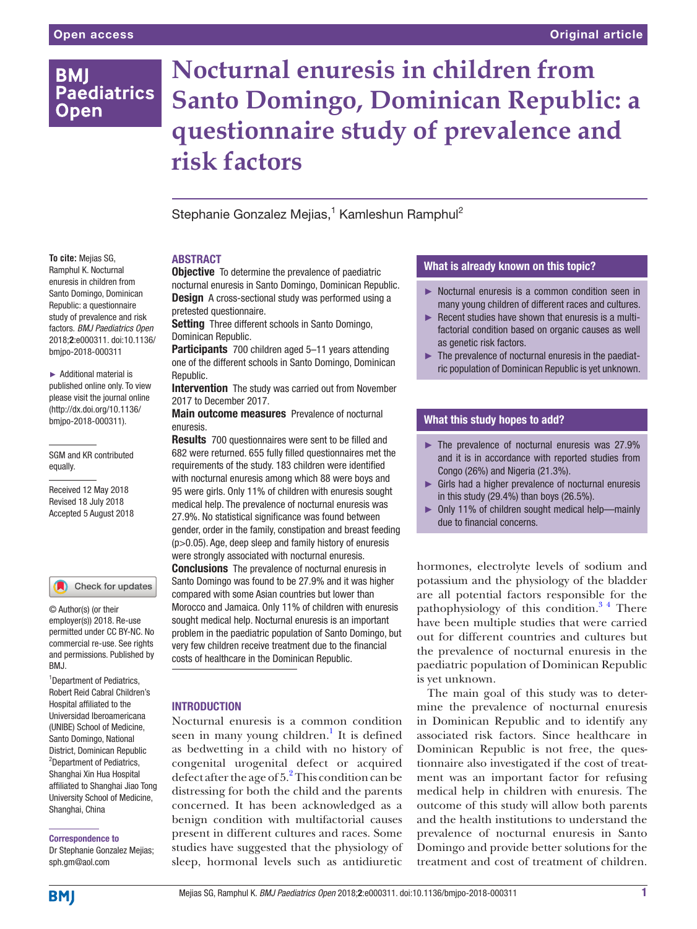# **BMI Paediatrics Open**

**Nocturnal enuresis in children from Santo Domingo, Dominican Republic: a questionnaire study of prevalence and risk factors**

Stephanie Gonzalez Mejias,<sup>1</sup> Kamleshun Ramphul<sup>2</sup>

## **ABSTRACT**

**Objective** To determine the prevalence of paediatric nocturnal enuresis in Santo Domingo, Dominican Republic. **Design** A cross-sectional study was performed using a pretested questionnaire.

**Setting** Three different schools in Santo Domingo, Dominican Republic.

Participants 700 children aged 5-11 years attending one of the different schools in Santo Domingo, Dominican Republic.

**Intervention** The study was carried out from November 2017 to December 2017.

Main outcome measures Prevalence of nocturnal enuresis.

Results 700 questionnaires were sent to be filled and 682 were returned. 655 fully filled questionnaires met the requirements of the study. 183 children were identified with nocturnal enuresis among which 88 were boys and 95 were girls. Only 11% of children with enuresis sought medical help. The prevalence of nocturnal enuresis was 27.9%. No statistical significance was found between gender, order in the family, constipation and breast feeding (p>0.05). Age, deep sleep and family history of enuresis were strongly associated with nocturnal enuresis. **Conclusions** The prevalence of nocturnal enuresis in Santo Domingo was found to be 27.9% and it was higher compared with some Asian countries but lower than Morocco and Jamaica. Only 11% of children with enuresis sought medical help. Nocturnal enuresis is an important problem in the paediatric population of Santo Domingo, but very few children receive treatment due to the financial costs of healthcare in the Dominican Republic.

### **INTRODUCTION**

Nocturnal enuresis is a common condition seen in many young children.<sup>1</sup> It is defined as bedwetting in a child with no history of congenital urogenital defect or acquired defect after the age of 5.<sup>2</sup> This condition can be distressing for both the child and the parents concerned. It has been acknowledged as a benign condition with multifactorial causes present in different cultures and races. Some studies have suggested that the physiology of sleep, hormonal levels such as antidiuretic

### What is already known on this topic?

- ► Nocturnal enuresis is a common condition seen in many young children of different races and cultures.
- ► Recent studies have shown that enuresis is a multifactorial condition based on organic causes as well as genetic risk factors.
- $\blacktriangleright$  The prevalence of nocturnal enuresis in the paediatric population of Dominican Republic is yet unknown.

### What this study hopes to add?

- ► The prevalence of nocturnal enuresis was 27.9% and it is in accordance with reported studies from Congo (26%) and Nigeria (21.3%).
- ► Girls had a higher prevalence of nocturnal enuresis in this study (29.4%) than boys (26.5%).
- ► Only 11% of children sought medical help—mainly due to financial concerns.

hormones, electrolyte levels of sodium and potassium and the physiology of the bladder are all potential factors responsible for the pathophysiology of this condition.<sup>34</sup> There have been multiple studies that were carried out for different countries and cultures but the prevalence of nocturnal enuresis in the paediatric population of Dominican Republic is yet unknown.

The main goal of this study was to determine the prevalence of nocturnal enuresis in Dominican Republic and to identify any associated risk factors. Since healthcare in Dominican Republic is not free, the questionnaire also investigated if the cost of treatment was an important factor for refusing medical help in children with enuresis. The outcome of this study will allow both parents and the health institutions to understand the prevalence of nocturnal enuresis in Santo Domingo and provide better solutions for the treatment and cost of treatment of children.

### **To cite:** Mejias SG, Ramphul K. Nocturnal enuresis in children from Santo Domingo, Dominican Republic: a questionnaire study of prevalence and risk factors. *BMJ Paediatrics Open* 2018;2:e000311. doi:10.1136/ bmjpo-2018-000311

► Additional material is published online only. To view please visit the journal online (http://dx.doi.org/10.1136/ bmjpo-2018-000311).

SGM and KR contributed equally.

Received 12 May 2018 Revised 18 July 2018 Accepted 5 August 2018



© Author(s) (or their employer(s)) 2018. Re-use permitted under CC BY-NC. No commercial re-use. See rights and permissions. Published by BMJ.

<sup>1</sup>Department of Pediatrics, Robert Reid Cabral Children's Hospital affiliated to the Universidad Iberoamericana (UNIBE) School of Medicine, Santo Domingo, National District, Dominican Republic 2 Department of Pediatrics, Shanghai Xin Hua Hospital affiliated to Shanghai Jiao Tong University School of Medicine, Shanghai, China

#### Correspondence to

Dr Stephanie Gonzalez Mejias; sph.gm@aol.com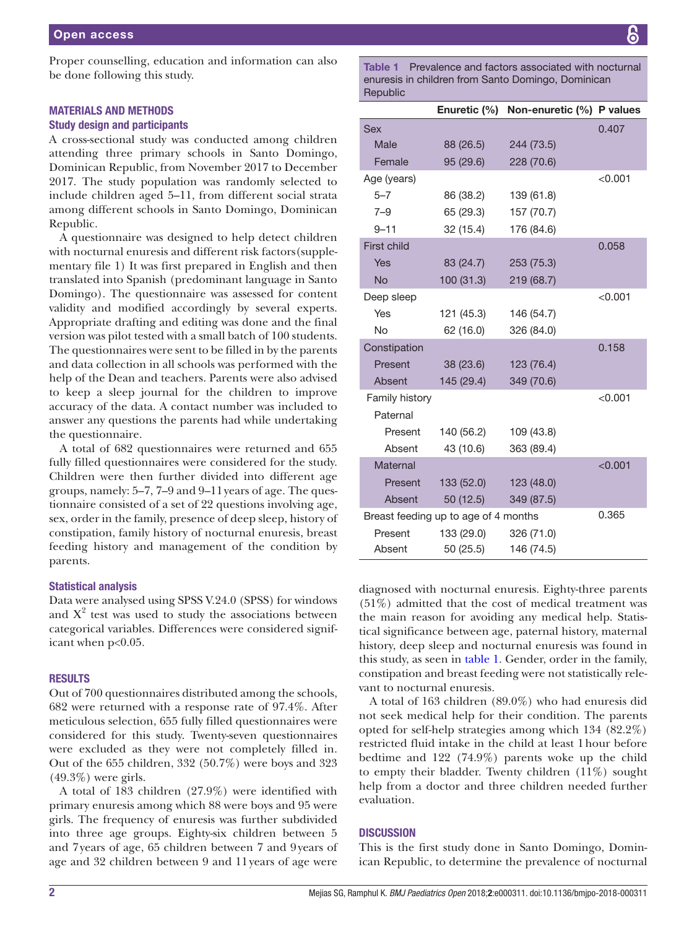Proper counselling, education and information can also be done following this study.

## Materials and methods

### Study design and participants

A cross-sectional study was conducted among children attending three primary schools in Santo Domingo, Dominican Republic, from November 2017 to December 2017. The study population was randomly selected to include children aged 5–11, from different social strata among different schools in Santo Domingo, Dominican Republic.

A questionnaire was designed to help detect children with nocturnal enuresis and different risk factors[\(supple](https://dx.doi.org/10.1136/bmjpo-2018-000311)[mentary file 1](https://dx.doi.org/10.1136/bmjpo-2018-000311)) It was first prepared in English and then translated into Spanish (predominant language in Santo Domingo). The questionnaire was assessed for content validity and modified accordingly by several experts. Appropriate drafting and editing was done and the final version was pilot tested with a small batch of 100 students. The questionnaires were sent to be filled in by the parents and data collection in all schools was performed with the help of the Dean and teachers. Parents were also advised to keep a sleep journal for the children to improve accuracy of the data. A contact number was included to answer any questions the parents had while undertaking the questionnaire.

A total of 682 questionnaires were returned and 655 fully filled questionnaires were considered for the study. Children were then further divided into different age groups, namely: 5–7, 7–9 and 9–11years of age. The questionnaire consisted of a set of 22 questions involving age, sex, order in the family, presence of deep sleep, history of constipation, family history of nocturnal enuresis, breast feeding history and management of the condition by parents.

### Statistical analysis

Data were analysed using SPSS V.24.0 (SPSS) for windows and  $X^2$  test was used to study the associations between categorical variables. Differences were considered significant when p<0.05.

### **RESULTS**

Out of 700 questionnaires distributed among the schools, 682 were returned with a response rate of 97.4%. After meticulous selection, 655 fully filled questionnaires were considered for this study. Twenty-seven questionnaires were excluded as they were not completely filled in. Out of the 655 children, 332 (50.7%) were boys and 323  $(49.3\%)$  were girls.

A total of 183 children (27.9%) were identified with primary enuresis among which 88 were boys and 95 were girls. The frequency of enuresis was further subdivided into three age groups. Eighty-six children between 5 and 7years of age, 65 children between 7 and 9years of age and 32 children between 9 and 11years of age were

<span id="page-1-0"></span>Table 1 Prevalence and factors associated with nocturnal enuresis in children from Santo Domingo, Dominican Republic

|                                      | Enuretic (%) | Non-enuretic (%) P values |         |
|--------------------------------------|--------------|---------------------------|---------|
| <b>Sex</b>                           |              |                           | 0.407   |
| Male                                 | 88 (26.5)    | 244 (73.5)                |         |
| Female                               | 95 (29.6)    | 228 (70.6)                |         |
| Age (years)                          |              |                           | < 0.001 |
| $5 - 7$                              | 86 (38.2)    | 139 (61.8)                |         |
| $7 - 9$                              | 65 (29.3)    | 157 (70.7)                |         |
| $9 - 11$                             | 32 (15.4)    | 176 (84.6)                |         |
| <b>First child</b>                   |              |                           | 0.058   |
| Yes                                  | 83 (24.7)    | 253 (75.3)                |         |
| <b>No</b>                            | 100(31.3)    | 219 (68.7)                |         |
| Deep sleep                           |              |                           | < 0.001 |
| Yes                                  | 121 (45.3)   | 146 (54.7)                |         |
| <b>No</b>                            | 62 (16.0)    | 326 (84.0)                |         |
| Constipation                         |              |                           | 0.158   |
| Present                              | 38 (23.6)    | 123 (76.4)                |         |
| Absent                               | 145 (29.4)   | 349 (70.6)                |         |
| Family history                       |              |                           | < 0.001 |
| Paternal                             |              |                           |         |
| Present                              | 140 (56.2)   | 109 (43.8)                |         |
| Absent                               | 43 (10.6)    | 363 (89.4)                |         |
| Maternal                             |              |                           | < 0.001 |
| Present                              | 133(52.0)    | 123 (48.0)                |         |
| Absent                               | 50(12.5)     | 349 (87.5)                |         |
| Breast feeding up to age of 4 months |              |                           | 0.365   |
| Present                              | 133 (29.0)   | 326 (71.0)                |         |
| Absent                               | 50 (25.5)    | 146 (74.5)                |         |

diagnosed with nocturnal enuresis. Eighty-three parents (51%) admitted that the cost of medical treatment was the main reason for avoiding any medical help. Statistical significance between age, paternal history, maternal history, deep sleep and nocturnal enuresis was found in this study, as seen in [table](#page-1-0) 1. Gender, order in the family, constipation and breast feeding were not statistically relevant to nocturnal enuresis.

A total of 163 children (89.0%) who had enuresis did not seek medical help for their condition. The parents opted for self-help strategies among which 134 (82.2%) restricted fluid intake in the child at least 1hour before bedtime and 122 (74.9%) parents woke up the child to empty their bladder. Twenty children (11%) sought help from a doctor and three children needed further evaluation.

### **DISCUSSION**

This is the first study done in Santo Domingo, Dominican Republic, to determine the prevalence of nocturnal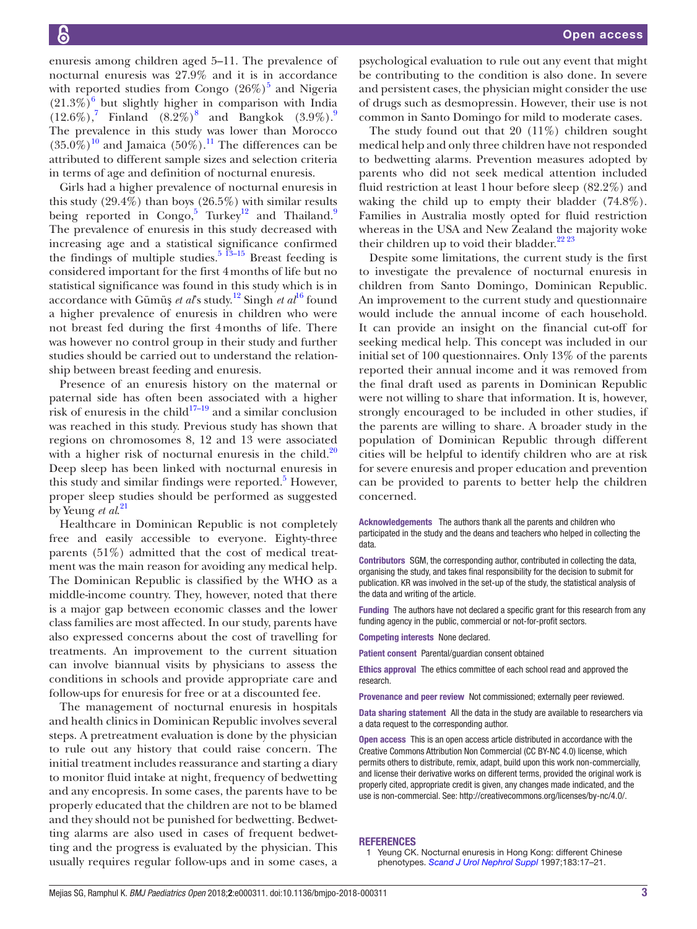enuresis among children aged 5–11. The prevalence of nocturnal enuresis was 27.9% and it is in accordance with reported studies from Congo  $(26\%)^5$  $(26\%)^5$  and Nigeria  $(21.3\%)$ <sup>[6](#page-3-2)</sup> but slightly higher in comparison with India  $(12.6\%)$ , Finland  $(8.2\%)^8$  and Bangkok  $(3.9\%)$  $(3.9\%)$  $(3.9\%)$ . The prevalence in this study was lower than Morocco  $(35.0\%)$ <sup>10</sup> and Jamaica  $(50\%)$ <sup>11</sup>. The differences can be attributed to different sample sizes and selection criteria in terms of age and definition of nocturnal enuresis.

Girls had a higher prevalence of nocturnal enuresis in this study (29.4%) than boys (26.5%) with similar results being reported in Congo,<sup>[5](#page-3-1)</sup> Turkey<sup>12</sup> and Thailand.<sup>[9](#page-3-5)</sup> The prevalence of enuresis in this study decreased with increasing age and a statistical significance confirmed the findings of multiple studies.<sup>5 13–15</sup> Breast feeding is considered important for the first 4months of life but no statistical significance was found in this study which is in accordance with Gümüş *et al*'s study.[12](#page-3-8) Singh *et al*[16](#page-3-9) found a higher prevalence of enuresis in children who were not breast fed during the first 4months of life. There was however no control group in their study and further studies should be carried out to understand the relationship between breast feeding and enuresis.

Presence of an enuresis history on the maternal or paternal side has often been associated with a higher risk of enuresis in the child $17-19$  and a similar conclusion was reached in this study. Previous study has shown that regions on chromosomes 8, 12 and 13 were associated with a higher risk of nocturnal enuresis in the child. $20$ Deep sleep has been linked with nocturnal enuresis in this study and similar findings were reported.<sup>[5](#page-3-1)</sup> However, proper sleep studies should be performed as suggested by Yeung *et al*. [21](#page-3-12)

Healthcare in Dominican Republic is not completely free and easily accessible to everyone. Eighty-three parents (51%) admitted that the cost of medical treatment was the main reason for avoiding any medical help. The Dominican Republic is classified by the WHO as a middle-income country. They, however, noted that there is a major gap between economic classes and the lower class families are most affected. In our study, parents have also expressed concerns about the cost of travelling for treatments. An improvement to the current situation can involve biannual visits by physicians to assess the conditions in schools and provide appropriate care and follow-ups for enuresis for free or at a discounted fee.

The management of nocturnal enuresis in hospitals and health clinics in Dominican Republic involves several steps. A pretreatment evaluation is done by the physician to rule out any history that could raise concern. The initial treatment includes reassurance and starting a diary to monitor fluid intake at night, frequency of bedwetting and any encopresis. In some cases, the parents have to be properly educated that the children are not to be blamed and they should not be punished for bedwetting. Bedwetting alarms are also used in cases of frequent bedwetting and the progress is evaluated by the physician. This usually requires regular follow-ups and in some cases, a

psychological evaluation to rule out any event that might be contributing to the condition is also done. In severe and persistent cases, the physician might consider the use of drugs such as desmopressin. However, their use is not common in Santo Domingo for mild to moderate cases.

The study found out that 20  $(11\%)$  children sought medical help and only three children have not responded to bedwetting alarms. Prevention measures adopted by parents who did not seek medical attention included fluid restriction at least 1hour before sleep (82.2%) and waking the child up to empty their bladder (74.8%). Families in Australia mostly opted for fluid restriction whereas in the USA and New Zealand the majority woke their children up to void their bladder.<sup>[22 23](#page-3-13)</sup>

Despite some limitations, the current study is the first to investigate the prevalence of nocturnal enuresis in children from Santo Domingo, Dominican Republic. An improvement to the current study and questionnaire would include the annual income of each household. It can provide an insight on the financial cut-off for seeking medical help. This concept was included in our initial set of 100 questionnaires. Only 13% of the parents reported their annual income and it was removed from the final draft used as parents in Dominican Republic were not willing to share that information. It is, however, strongly encouraged to be included in other studies, if the parents are willing to share. A broader study in the population of Dominican Republic through different cities will be helpful to identify children who are at risk for severe enuresis and proper education and prevention can be provided to parents to better help the children concerned.

Acknowledgements The authors thank all the parents and children who participated in the study and the deans and teachers who helped in collecting the data.

Contributors SGM, the corresponding author, contributed in collecting the data, organising the study, and takes final responsibility for the decision to submit for publication. KR was involved in the set-up of the study, the statistical analysis of the data and writing of the article.

Funding The authors have not declared a specific grant for this research from any funding agency in the public, commercial or not-for-profit sectors.

Competing interests None declared.

Patient consent Parental/guardian consent obtained

Ethics approval The ethics committee of each school read and approved the research.

Provenance and peer review Not commissioned; externally peer reviewed.

Data sharing statement All the data in the study are available to researchers via a data request to the corresponding author.

Open access This is an open access article distributed in accordance with the Creative Commons Attribution Non Commercial (CC BY-NC 4.0) license, which permits others to distribute, remix, adapt, build upon this work non-commercially, and license their derivative works on different terms, provided the original work is properly cited, appropriate credit is given, any changes made indicated, and the use is non-commercial. See: <http://creativecommons.org/licenses/by-nc/4.0/>.

#### **REFERENCES**

1 Yeung CK. Nocturnal enuresis in Hong Kong: different Chinese phenotypes. *[Scand J Urol Nephrol Suppl](http://www.ncbi.nlm.nih.gov/pubmed/9165598)* 1997;183:17–21.